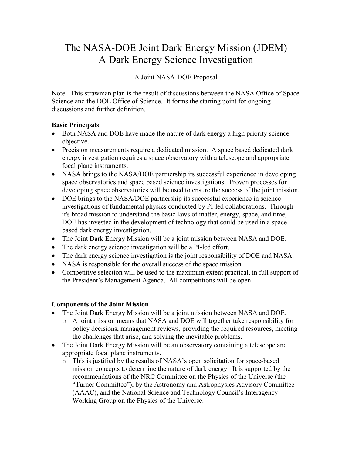# The NASA-DOE Joint Dark Energy Mission (JDEM) A Dark Energy Science Investigation

### A Joint NASA-DOE Proposal

Note: This strawman plan is the result of discussions between the NASA Office of Space Science and the DOE Office of Science. It forms the starting point for ongoing discussions and further definition.

### **Basic Principals**

- Both NASA and DOE have made the nature of dark energy a high priority science objective.
- Precision measurements require a dedicated mission. A space based dedicated dark energy investigation requires a space observatory with a telescope and appropriate focal plane instruments.
- NASA brings to the NASA/DOE partnership its successful experience in developing space observatories and space based science investigations. Proven processes for developing space observatories will be used to ensure the success of the joint mission.
- DOE brings to the NASA/DOE partnership its successful experience in science investigations of fundamental physics conducted by PI-led collaborations. Through it's broad mission to understand the basic laws of matter, energy, space, and time, DOE has invested in the development of technology that could be used in a space based dark energy investigation.
- The Joint Dark Energy Mission will be a joint mission between NASA and DOE.
- The dark energy science investigation will be a PI-led effort.
- The dark energy science investigation is the joint responsibility of DOE and NASA.
- NASA is responsible for the overall success of the space mission.
- Competitive selection will be used to the maximum extent practical, in full support of the President's Management Agenda. All competitions will be open.

### **Components of the Joint Mission**

- The Joint Dark Energy Mission will be a joint mission between NASA and DOE.
	- o A joint mission means that NASA and DOE will together take responsibility for policy decisions, management reviews, providing the required resources, meeting the challenges that arise, and solving the inevitable problems.
- The Joint Dark Energy Mission will be an observatory containing a telescope and appropriate focal plane instruments.
	- o This is justified by the results of NASA's open solicitation for space-based mission concepts to determine the nature of dark energy. It is supported by the recommendations of the NRC Committee on the Physics of the Universe (the "Turner Committee"), by the Astronomy and Astrophysics Advisory Committee (AAAC), and the National Science and Technology Council's Interagency Working Group on the Physics of the Universe.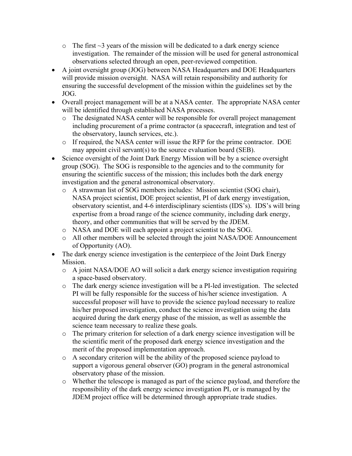- $\circ$  The first  $\sim$ 3 years of the mission will be dedicated to a dark energy science investigation. The remainder of the mission will be used for general astronomical observations selected through an open, peer-reviewed competition.
- A joint oversight group (JOG) between NASA Headquarters and DOE Headquarters will provide mission oversight. NASA will retain responsibility and authority for ensuring the successful development of the mission within the guidelines set by the JOG.
- Overall project management will be at a NASA center. The appropriate NASA center will be identified through established NASA processes.
	- o The designated NASA center will be responsible for overall project management including procurement of a prime contractor (a spacecraft, integration and test of the observatory, launch services, etc.).
	- o If required, the NASA center will issue the RFP for the prime contractor. DOE may appoint civil servant(s) to the source evaluation board (SEB).
- Science oversight of the Joint Dark Energy Mission will be by a science oversight group (SOG). The SOG is responsible to the agencies and to the community for ensuring the scientific success of the mission; this includes both the dark energy investigation and the general astronomical observatory.
	- o A strawman list of SOG members includes: Mission scientist (SOG chair), NASA project scientist, DOE project scientist, PI of dark energy investigation, observatory scientist, and 4-6 interdisciplinary scientists (IDS's). IDS's will bring expertise from a broad range of the science community, including dark energy, theory, and other communities that will be served by the JDEM.
	- o NASA and DOE will each appoint a project scientist to the SOG.
	- o All other members will be selected through the joint NASA/DOE Announcement of Opportunity (AO).
- The dark energy science investigation is the centerpiece of the Joint Dark Energy Mission.
	- o A joint NASA/DOE AO will solicit a dark energy science investigation requiring a space-based observatory.
	- o The dark energy science investigation will be a PI-led investigation. The selected PI will be fully responsible for the success of his/her science investigation. A successful proposer will have to provide the science payload necessary to realize his/her proposed investigation, conduct the science investigation using the data acquired during the dark energy phase of the mission, as well as assemble the science team necessary to realize these goals.
	- o The primary criterion for selection of a dark energy science investigation will be the scientific merit of the proposed dark energy science investigation and the merit of the proposed implementation approach.
	- o A secondary criterion will be the ability of the proposed science payload to support a vigorous general observer (GO) program in the general astronomical observatory phase of the mission.
	- o Whether the telescope is managed as part of the science payload, and therefore the responsibility of the dark energy science investigation PI, or is managed by the JDEM project office will be determined through appropriate trade studies.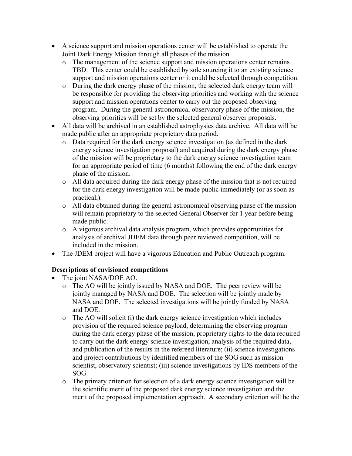- A science support and mission operations center will be established to operate the Joint Dark Energy Mission through all phases of the mission.
	- o The management of the science support and mission operations center remains TBD. This center could be established by sole sourcing it to an existing science support and mission operations center or it could be selected through competition.
	- o During the dark energy phase of the mission, the selected dark energy team will be responsible for providing the observing priorities and working with the science support and mission operations center to carry out the proposed observing program. During the general astronomical observatory phase of the mission, the observing priorities will be set by the selected general observer proposals.
- All data will be archived in an established astrophysics data archive. All data will be made public after an appropriate proprietary data period.
	- o Data required for the dark energy science investigation (as defined in the dark energy science investigation proposal) and acquired during the dark energy phase of the mission will be proprietary to the dark energy science investigation team for an appropriate period of time (6 months) following the end of the dark energy phase of the mission.
	- o All data acquired during the dark energy phase of the mission that is not required for the dark energy investigation will be made public immediately (or as soon as practical,).
	- o All data obtained during the general astronomical observing phase of the mission will remain proprietary to the selected General Observer for 1 year before being made public.
	- o A vigorous archival data analysis program, which provides opportunities for analysis of archival JDEM data through peer reviewed competition, will be included in the mission.
- The JDEM project will have a vigorous Education and Public Outreach program.

### **Descriptions of envisioned competitions**

- The joint NASA/DOE AO.
	- o The AO will be jointly issued by NASA and DOE. The peer review will be jointly managed by NASA and DOE. The selection will be jointly made by NASA and DOE. The selected investigations will be jointly funded by NASA and DOE.
	- $\circ$  The AO will solicit (i) the dark energy science investigation which includes provision of the required science payload, determining the observing program during the dark energy phase of the mission, proprietary rights to the data required to carry out the dark energy science investigation, analysis of the required data, and publication of the results in the refereed literature; (ii) science investigations and project contributions by identified members of the SOG such as mission scientist, observatory scientist; (iii) science investigations by IDS members of the SOG.
	- o The primary criterion for selection of a dark energy science investigation will be the scientific merit of the proposed dark energy science investigation and the merit of the proposed implementation approach. A secondary criterion will be the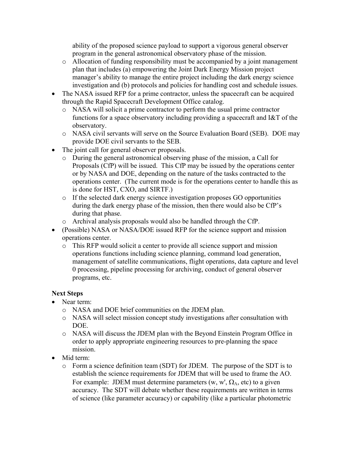ability of the proposed science payload to support a vigorous general observer program in the general astronomical observatory phase of the mission.

- o Allocation of funding responsibility must be accompanied by a joint management plan that includes (a) empowering the Joint Dark Energy Mission project manager's ability to manage the entire project including the dark energy science investigation and (b) protocols and policies for handling cost and schedule issues.
- The NASA issued RFP for a prime contractor, unless the spacecraft can be acquired through the Rapid Spacecraft Development Office catalog.
	- o NASA will solicit a prime contractor to perform the usual prime contractor functions for a space observatory including providing a spacecraft and I&T of the observatory.
	- o NASA civil servants will serve on the Source Evaluation Board (SEB). DOE may provide DOE civil servants to the SEB.
- The joint call for general observer proposals.
	- o During the general astronomical observing phase of the mission, a Call for Proposals (CfP) will be issued. This CfP may be issued by the operations center or by NASA and DOE, depending on the nature of the tasks contracted to the operations center. (The current mode is for the operations center to handle this as is done for HST, CXO, and SIRTF.)
	- o If the selected dark energy science investigation proposes GO opportunities during the dark energy phase of the mission, then there would also be CfP's during that phase.
	- o Archival analysis proposals would also be handled through the CfP.
- (Possible) NASA or NASA/DOE issued RFP for the science support and mission operations center.
	- o This RFP would solicit a center to provide all science support and mission operations functions including science planning, command load generation, management of satellite communications, flight operations, data capture and level 0 processing, pipeline processing for archiving, conduct of general observer programs, etc.

### **Next Steps**

- Near term:
	- o NASA and DOE brief communities on the JDEM plan.
	- o NASA will select mission concept study investigations after consultation with DOE.
	- o NASA will discuss the JDEM plan with the Beyond Einstein Program Office in order to apply appropriate engineering resources to pre-planning the space mission.
- Mid term:
	- o Form a science definition team (SDT) for JDEM. The purpose of the SDT is to establish the science requirements for JDEM that will be used to frame the AO. For example: JDEM must determine parameters (w, w',  $\Omega_{\Lambda}$ , etc) to a given accuracy. The SDT will debate whether these requirements are written in terms of science (like parameter accuracy) or capability (like a particular photometric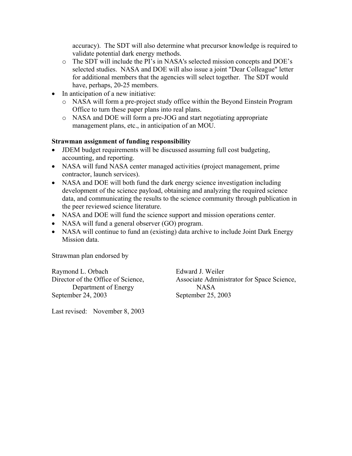accuracy). The SDT will also determine what precursor knowledge is required to validate potential dark energy methods.

- o The SDT will include the PI's in NASA's selected mission concepts and DOE's selected studies. NASA and DOE will also issue a joint "Dear Colleague" letter for additional members that the agencies will select together. The SDT would have, perhaps, 20-25 members.
- In anticipation of a new initiative:
	- o NASA will form a pre-project study office within the Beyond Einstein Program Office to turn these paper plans into real plans.
	- o NASA and DOE will form a pre-JOG and start negotiating appropriate management plans, etc., in anticipation of an MOU.

#### **Strawman assignment of funding responsibility**

- JDEM budget requirements will be discussed assuming full cost budgeting, accounting, and reporting.
- NASA will fund NASA center managed activities (project management, prime contractor, launch services).
- NASA and DOE will both fund the dark energy science investigation including development of the science payload, obtaining and analyzing the required science data, and communicating the results to the science community through publication in the peer reviewed science literature.
- NASA and DOE will fund the science support and mission operations center.
- NASA will fund a general observer (GO) program.
- NASA will continue to fund an (existing) data archive to include Joint Dark Energy Mission data.

Strawman plan endorsed by

Raymond L. Orbach Edward J. Weiler Department of Energy NASA September 24, 2003 September 25, 2003

Director of the Office of Science, Associate Administrator for Space Science,

Last revised: November 8, 2003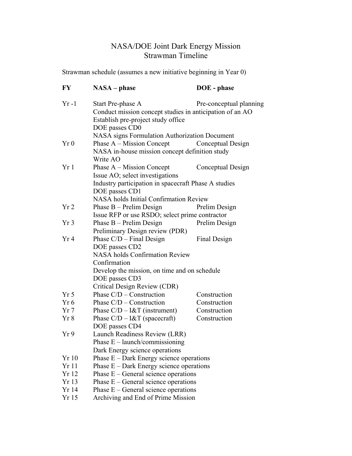### NASA/DOE Joint Dark Energy Mission Strawman Timeline

Strawman schedule (assumes a new initiative beginning in Year 0)

| FY              | NASA – phase                                                                                                                          | DOE - phase             |  |
|-----------------|---------------------------------------------------------------------------------------------------------------------------------------|-------------------------|--|
| $Yr-1$          | Start Pre-phase A<br>Conduct mission concept studies in anticipation of an AO<br>Establish pre-project study office<br>DOE passes CD0 | Pre-conceptual planning |  |
|                 | NASA signs Formulation Authorization Document                                                                                         |                         |  |
| Yr0             | Phase A – Mission Concept<br>NASA in-house mission concept definition study<br>Write AO                                               | Conceptual Design       |  |
| Yr1             | Phase A – Mission Concept<br>Issue AO; select investigations<br>Industry participation in spacecraft Phase A studies                  | Conceptual Design       |  |
|                 | DOE passes CD1                                                                                                                        |                         |  |
|                 | <b>NASA</b> holds Initial Confirmation Review                                                                                         |                         |  |
| Yr <sub>2</sub> | Phase $B$ – Prelim Design                                                                                                             | Prelim Design           |  |
|                 | Issue RFP or use RSDO; select prime contractor                                                                                        |                         |  |
| Yr3             | Phase $B$ – Prelim Design                                                                                                             | Prelim Design           |  |
|                 | Preliminary Design review (PDR)                                                                                                       |                         |  |
| Yr4             | Phase $C/D$ – Final Design                                                                                                            | Final Design            |  |
|                 | DOE passes CD2                                                                                                                        |                         |  |
|                 | <b>NASA</b> holds Confirmation Review                                                                                                 |                         |  |
|                 | Confirmation                                                                                                                          |                         |  |
|                 | Develop the mission, on time and on schedule                                                                                          |                         |  |
|                 | DOE passes CD3                                                                                                                        |                         |  |
|                 | Critical Design Review (CDR)                                                                                                          |                         |  |
| Yr <sub>5</sub> | Phase $C/D$ – Construction                                                                                                            | Construction            |  |
| Yr <sub>6</sub> | Phase $C/D$ – Construction                                                                                                            | Construction            |  |
| Yr <sub>7</sub> | Phase $C/D - I & T$ (instrument)                                                                                                      | Construction            |  |
| Yr8             | Phase $C/D - I & T$ (spacecraft)                                                                                                      | Construction            |  |
|                 | DOE passes CD4                                                                                                                        |                         |  |
| Yr9             | Launch Readiness Review (LRR)                                                                                                         |                         |  |
|                 | Phase $E - \text{launch}/\text{commissioning}$                                                                                        |                         |  |
|                 | Dark Energy science operations                                                                                                        |                         |  |
| Yr10            | Phase $E$ – Dark Energy science operations                                                                                            |                         |  |
| Yr11            | Phase $E$ – Dark Energy science operations                                                                                            |                         |  |
| Yr 12<br>Yr 13  | Phase $E -$ General science operations                                                                                                |                         |  |
| Yr 14           | Phase $E -$ General science operations<br>Phase $E -$ General science operations                                                      |                         |  |
| Yr 15           |                                                                                                                                       |                         |  |
|                 | Archiving and End of Prime Mission                                                                                                    |                         |  |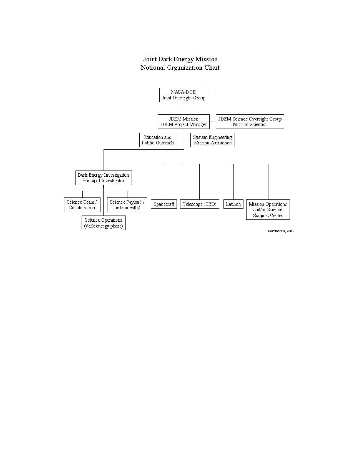### Joint Dark Energy Mission Notional Organization Chart

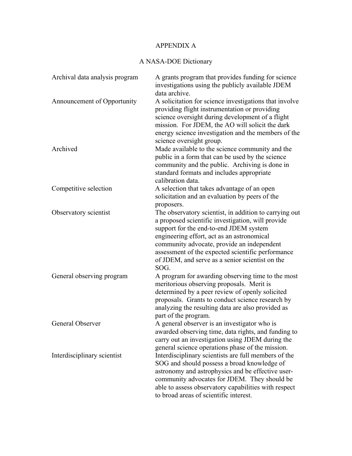### APPENDIX A

## A NASA-DOE Dictionary

| Archival data analysis program | A grants program that provides funding for science<br>investigations using the publicly available JDEM                                                                                                                                                                                                                                                            |
|--------------------------------|-------------------------------------------------------------------------------------------------------------------------------------------------------------------------------------------------------------------------------------------------------------------------------------------------------------------------------------------------------------------|
|                                | data archive.                                                                                                                                                                                                                                                                                                                                                     |
| Announcement of Opportunity    | A solicitation for science investigations that involve<br>providing flight instrumentation or providing                                                                                                                                                                                                                                                           |
| Archived                       | science oversight during development of a flight<br>mission. For JDEM, the AO will solicit the dark<br>energy science investigation and the members of the<br>science oversight group.<br>Made available to the science community and the                                                                                                                         |
|                                | public in a form that can be used by the science<br>community and the public. Archiving is done in<br>standard formats and includes appropriate<br>calibration data.                                                                                                                                                                                              |
| Competitive selection          | A selection that takes advantage of an open<br>solicitation and an evaluation by peers of the<br>proposers.                                                                                                                                                                                                                                                       |
| Observatory scientist          | The observatory scientist, in addition to carrying out<br>a proposed scientific investigation, will provide<br>support for the end-to-end JDEM system<br>engineering effort, act as an astronomical<br>community advocate, provide an independent<br>assessment of the expected scientific performance<br>of JDEM, and serve as a senior scientist on the<br>SOG. |
| General observing program      | A program for awarding observing time to the most<br>meritorious observing proposals. Merit is<br>determined by a peer review of openly solicited<br>proposals. Grants to conduct science research by<br>analyzing the resulting data are also provided as<br>part of the program.                                                                                |
| General Observer               | A general observer is an investigator who is<br>awarded observing time, data rights, and funding to<br>carry out an investigation using JDEM during the<br>general science operations phase of the mission.                                                                                                                                                       |
| Interdisciplinary scientist    | Interdisciplinary scientists are full members of the<br>SOG and should possess a broad knowledge of<br>astronomy and astrophysics and be effective user-<br>community advocates for JDEM. They should be<br>able to assess observatory capabilities with respect<br>to broad areas of scientific interest.                                                        |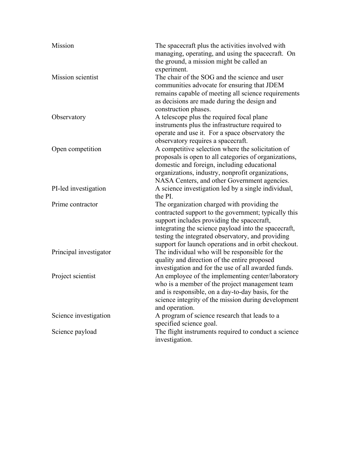| Mission                | The spacecraft plus the activities involved with<br>managing, operating, and using the spacecraft. On<br>the ground, a mission might be called an<br>experiment.                                                                                                                                                       |
|------------------------|------------------------------------------------------------------------------------------------------------------------------------------------------------------------------------------------------------------------------------------------------------------------------------------------------------------------|
| Mission scientist      | The chair of the SOG and the science and user<br>communities advocate for ensuring that JDEM<br>remains capable of meeting all science requirements<br>as decisions are made during the design and<br>construction phases.                                                                                             |
| Observatory            | A telescope plus the required focal plane<br>instruments plus the infrastructure required to<br>operate and use it. For a space observatory the<br>observatory requires a spacecraft.                                                                                                                                  |
| Open competition       | A competitive selection where the solicitation of<br>proposals is open to all categories of organizations,<br>domestic and foreign, including educational<br>organizations, industry, nonprofit organizations,<br>NASA Centers, and other Government agencies.                                                         |
| PI-led investigation   | A science investigation led by a single individual,<br>the PI.                                                                                                                                                                                                                                                         |
| Prime contractor       | The organization charged with providing the<br>contracted support to the government; typically this<br>support includes providing the spacecraft,<br>integrating the science payload into the spacecraft,<br>testing the integrated observatory, and providing<br>support for launch operations and in orbit checkout. |
| Principal investigator | The individual who will be responsible for the<br>quality and direction of the entire proposed<br>investigation and for the use of all awarded funds.                                                                                                                                                                  |
| Project scientist      | An employee of the implementing center/laboratory<br>who is a member of the project management team<br>and is responsible, on a day-to-day basis, for the<br>science integrity of the mission during development<br>and operation.                                                                                     |
| Science investigation  | A program of science research that leads to a<br>specified science goal.                                                                                                                                                                                                                                               |
| Science payload        | The flight instruments required to conduct a science<br>investigation.                                                                                                                                                                                                                                                 |